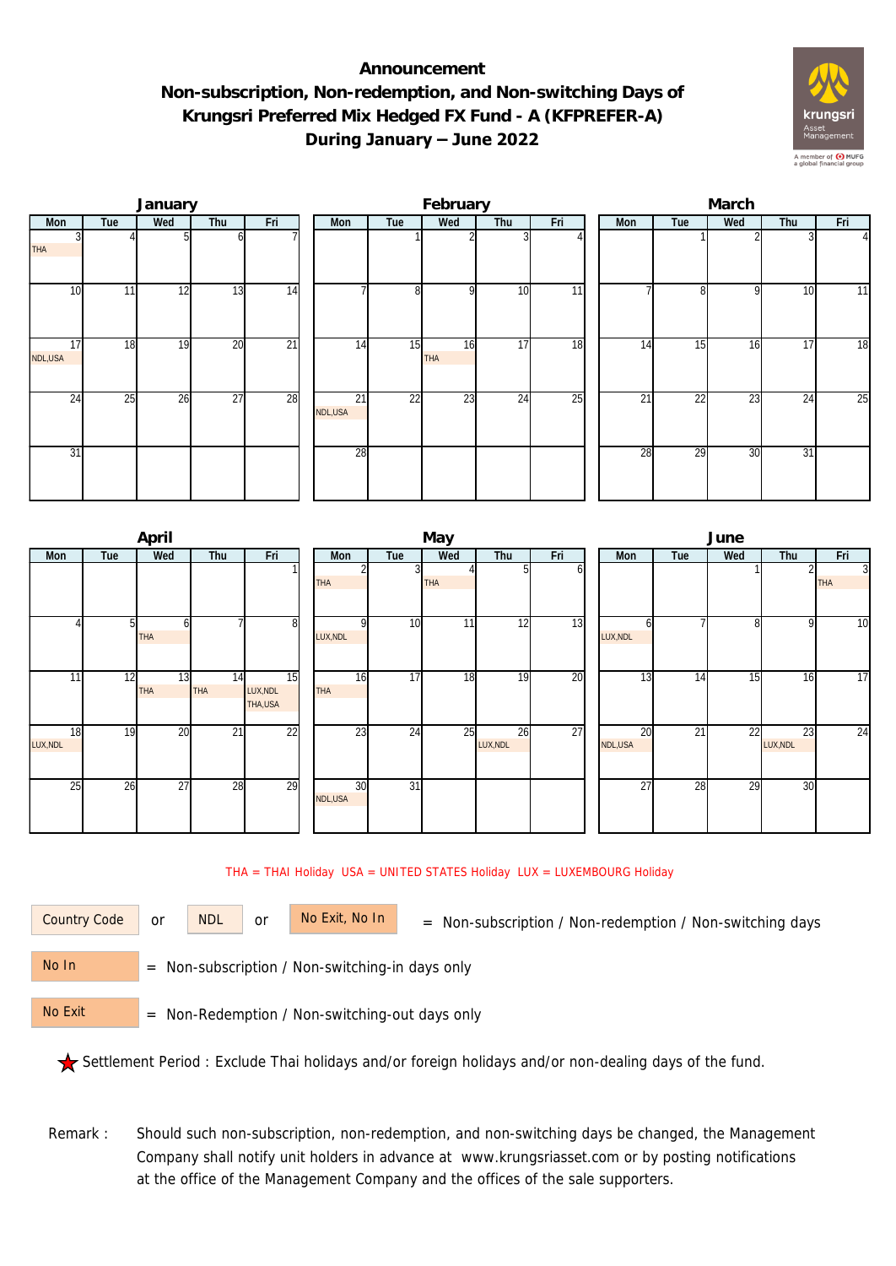## **Announcement Non-subscription, Non-redemption, and Non-switching Days of Krungsri Preferred Mix Hedged FX Fund - A (KFPREFER-A) During January – June 2022**



|                 |     | January |                 |                 |               |     | February  |                 |                 | March |     |     |     |                |  |  |
|-----------------|-----|---------|-----------------|-----------------|---------------|-----|-----------|-----------------|-----------------|-------|-----|-----|-----|----------------|--|--|
| Mon             | Tue | Wed     | Thu             | Fri             | Mon           | Tue | Wed       | Thu             | Fri             | Mon   | Tue | Wed | Thu | Fri            |  |  |
| <b>THA</b>      |     |         | ωI              |                 |               |     |           |                 |                 |       |     |     |     | $\overline{4}$ |  |  |
| 10              | 11  | 12      | 13              | 14              |               | 8   | οI        | 10              | 11              |       | 81  | 9   | 10  | 11             |  |  |
| 17<br>NDL,USA   | 18  | 19      | 20              | $\overline{21}$ | 14            | 15  | 16<br>THA | 17              | $\overline{18}$ | 14    | 15  | 16  | 17  | 18             |  |  |
| $2\overline{4}$ | 25  | 26      | $\overline{27}$ | 28              | 21<br>NDL,USA | 22  | 23        | $2\overline{4}$ | $\overline{25}$ | 21    | 22  | 23  | 24  | 25             |  |  |
| 31              |     |         |                 |                 | 28            |     |           |                 |                 | 28    | 29  | 30  | 31  |                |  |  |

|                |     | April            |                  |                           |                 |                 | May             |                |     | June            |     |     |                |                              |  |
|----------------|-----|------------------|------------------|---------------------------|-----------------|-----------------|-----------------|----------------|-----|-----------------|-----|-----|----------------|------------------------------|--|
| Mon            | Tue | Wed              | Thu              | Fri                       | Mon             | Tue             | Wed             | Thu            | Fri | Mon             | Tue | Wed | Thu            | Fri                          |  |
|                |     |                  |                  |                           | <b>THA</b>      |                 | <b>THA</b>      |                | οı  |                 |     |     | 2              | $\overline{3}$<br><b>THA</b> |  |
|                |     | ω<br><b>THA</b>  |                  | 8                         | ΩI<br>LUX, NDL  | 10              | 11 <sub>1</sub> | 12             | 13  | LUX, NDL        |     | 8   | 9              | 10                           |  |
| 11             | 12  | 13<br><b>THA</b> | 14<br><b>THA</b> | 15<br>LUX, NDL<br>THA,USA | 16<br>THA       | 17              | 18              | 19             | 20  | $1\overline{3}$ | 14  | 15  | 16             | 17                           |  |
| 18<br>LUX, NDL | 19  | 20               | $\overline{21}$  | $\overline{22}$           | $2\overline{3}$ | 24              | 25              | 26<br>LUX, NDL | 27  | 20<br>NDL,USA   | 21  | 22  | 23<br>LUX, NDL | 24                           |  |
| 25             | 26  | 27               | 28               | 29                        | 30<br>NDL,USA   | $\overline{31}$ |                 |                |     | $\overline{27}$ | 28  | 29  | 30             |                              |  |

THA = THAI Holiday USA = UNITED STATES Holiday LUX = LUXEMBOURG Holiday

or NDL or

Country Code or NDL or No Exit, No In = Non-subscription / Non-redemption / Non-switching days

 = Non-subscription / Non-switching-in days only No In

 = Non-Redemption / Non-switching-out days only No Exit

Settlement Period : Exclude Thai holidays and/or foreign holidays and/or non-dealing days of the fund.

Remark : Should such non-subscription, non-redemption, and non-switching days be changed, the Management Company shall notify unit holders in advance at www.krungsriasset.com or by posting notifications at the office of the Management Company and the offices of the sale supporters.